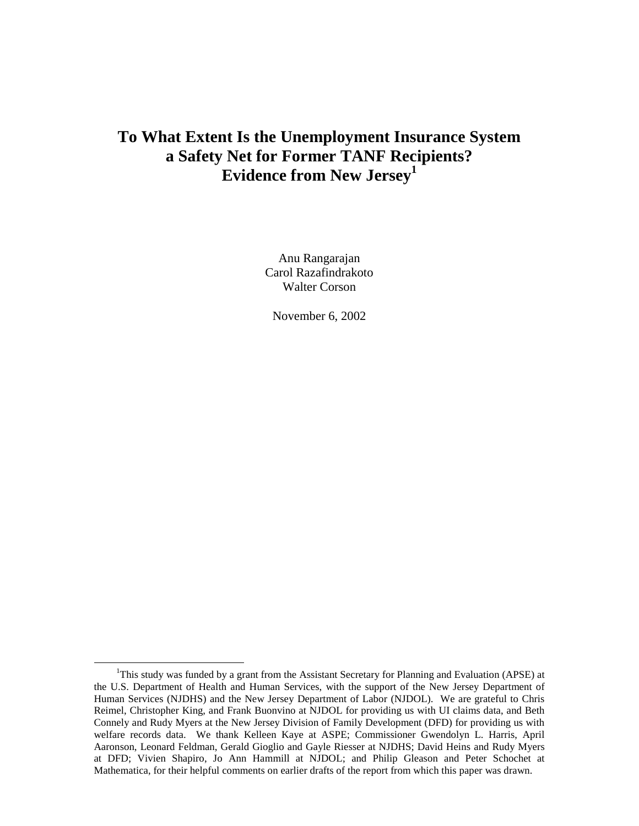# **To What Extent Is the Unemployment Insurance System a Safety Net for Former TANF Recipients? Evidence from New Jersey1**

Anu Rangarajan Carol Razafindrakoto Walter Corson

November 6, 2002

 <sup>1</sup> <sup>1</sup>This study was funded by a grant from the Assistant Secretary for Planning and Evaluation (APSE) at the U.S. Department of Health and Human Services, with the support of the New Jersey Department of Human Services (NJDHS) and the New Jersey Department of Labor (NJDOL). We are grateful to Chris Reimel, Christopher King, and Frank Buonvino at NJDOL for providing us with UI claims data, and Beth Connely and Rudy Myers at the New Jersey Division of Family Development (DFD) for providing us with welfare records data. We thank Kelleen Kaye at ASPE; Commissioner Gwendolyn L. Harris, April Aaronson, Leonard Feldman, Gerald Gioglio and Gayle Riesser at NJDHS; David Heins and Rudy Myers at DFD; Vivien Shapiro, Jo Ann Hammill at NJDOL; and Philip Gleason and Peter Schochet at Mathematica, for their helpful comments on earlier drafts of the report from which this paper was drawn.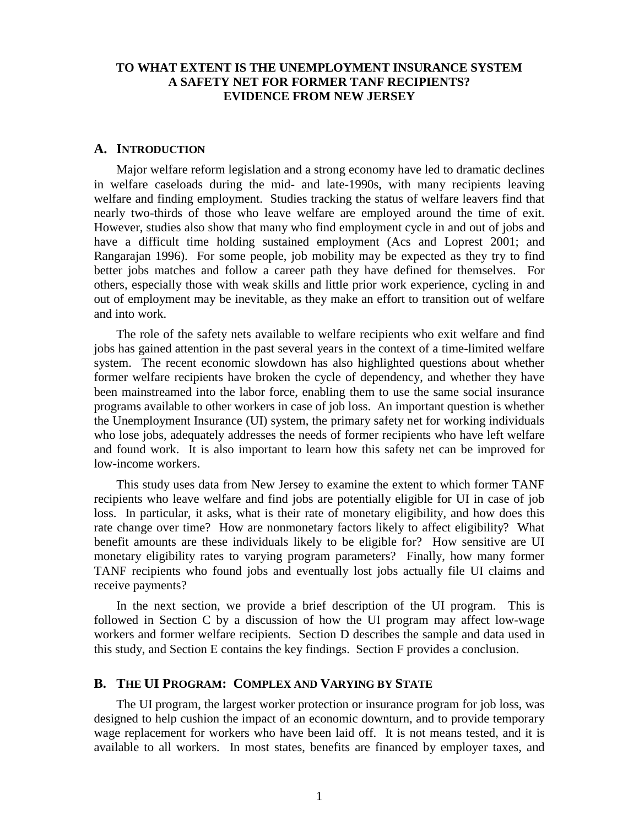#### **TO WHAT EXTENT IS THE UNEMPLOYMENT INSURANCE SYSTEM A SAFETY NET FOR FORMER TANF RECIPIENTS? EVIDENCE FROM NEW JERSEY**

#### **A. INTRODUCTION**

Major welfare reform legislation and a strong economy have led to dramatic declines in welfare caseloads during the mid- and late-1990s, with many recipients leaving welfare and finding employment. Studies tracking the status of welfare leavers find that nearly two-thirds of those who leave welfare are employed around the time of exit. However, studies also show that many who find employment cycle in and out of jobs and have a difficult time holding sustained employment (Acs and Loprest 2001; and Rangarajan 1996). For some people, job mobility may be expected as they try to find better jobs matches and follow a career path they have defined for themselves. For others, especially those with weak skills and little prior work experience, cycling in and out of employment may be inevitable, as they make an effort to transition out of welfare and into work.

The role of the safety nets available to welfare recipients who exit welfare and find jobs has gained attention in the past several years in the context of a time-limited welfare system. The recent economic slowdown has also highlighted questions about whether former welfare recipients have broken the cycle of dependency, and whether they have been mainstreamed into the labor force, enabling them to use the same social insurance programs available to other workers in case of job loss. An important question is whether the Unemployment Insurance (UI) system, the primary safety net for working individuals who lose jobs, adequately addresses the needs of former recipients who have left welfare and found work. It is also important to learn how this safety net can be improved for low-income workers.

This study uses data from New Jersey to examine the extent to which former TANF recipients who leave welfare and find jobs are potentially eligible for UI in case of job loss. In particular, it asks, what is their rate of monetary eligibility, and how does this rate change over time? How are nonmonetary factors likely to affect eligibility? What benefit amounts are these individuals likely to be eligible for? How sensitive are UI monetary eligibility rates to varying program parameters? Finally, how many former TANF recipients who found jobs and eventually lost jobs actually file UI claims and receive payments?

In the next section, we provide a brief description of the UI program. This is followed in Section C by a discussion of how the UI program may affect low-wage workers and former welfare recipients. Section D describes the sample and data used in this study, and Section E contains the key findings. Section F provides a conclusion.

#### **B. THE UI PROGRAM: COMPLEX AND VARYING BY STATE**

The UI program, the largest worker protection or insurance program for job loss, was designed to help cushion the impact of an economic downturn, and to provide temporary wage replacement for workers who have been laid off. It is not means tested, and it is available to all workers. In most states, benefits are financed by employer taxes, and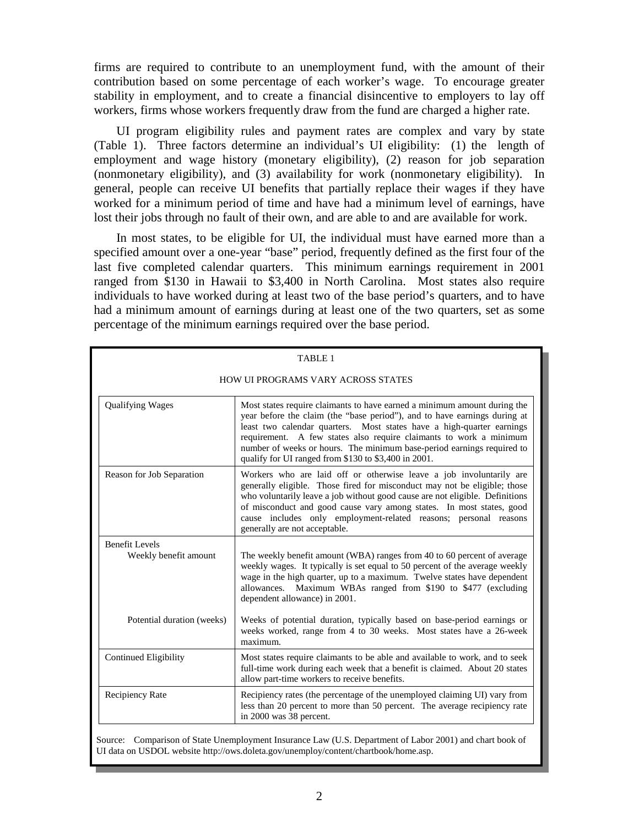firms are required to contribute to an unemployment fund, with the amount of their contribution based on some percentage of each worker's wage. To encourage greater stability in employment, and to create a financial disincentive to employers to lay off workers, firms whose workers frequently draw from the fund are charged a higher rate.

UI program eligibility rules and payment rates are complex and vary by state (Table 1). Three factors determine an individual's UI eligibility: (1) the length of employment and wage history (monetary eligibility), (2) reason for job separation (nonmonetary eligibility), and (3) availability for work (nonmonetary eligibility). In general, people can receive UI benefits that partially replace their wages if they have worked for a minimum period of time and have had a minimum level of earnings, have lost their jobs through no fault of their own, and are able to and are available for work.

In most states, to be eligible for UI, the individual must have earned more than a specified amount over a one-year "base" period, frequently defined as the first four of the last five completed calendar quarters. This minimum earnings requirement in 2001 ranged from \$130 in Hawaii to \$3,400 in North Carolina. Most states also require individuals to have worked during at least two of the base period's quarters, and to have had a minimum amount of earnings during at least one of the two quarters, set as some percentage of the minimum earnings required over the base period.

|                                                | TABLE 1                                                                                                                                                                                                                                                                                                                                                                                                                                |
|------------------------------------------------|----------------------------------------------------------------------------------------------------------------------------------------------------------------------------------------------------------------------------------------------------------------------------------------------------------------------------------------------------------------------------------------------------------------------------------------|
|                                                | <b>HOW UI PROGRAMS VARY ACROSS STATES</b>                                                                                                                                                                                                                                                                                                                                                                                              |
| <b>Qualifying Wages</b>                        | Most states require claimants to have earned a minimum amount during the<br>year before the claim (the "base period"), and to have earnings during at<br>least two calendar quarters. Most states have a high-quarter earnings<br>requirement. A few states also require claimants to work a minimum<br>number of weeks or hours. The minimum base-period earnings required to<br>qualify for UI ranged from \$130 to \$3,400 in 2001. |
| Reason for Job Separation                      | Workers who are laid off or otherwise leave a job involuntarily are<br>generally eligible. Those fired for misconduct may not be eligible; those<br>who voluntarily leave a job without good cause are not eligible. Definitions<br>of misconduct and good cause vary among states. In most states, good<br>cause includes only employment-related reasons; personal reasons<br>generally are not acceptable.                          |
| <b>Benefit Levels</b><br>Weekly benefit amount | The weekly benefit amount (WBA) ranges from 40 to 60 percent of average<br>weekly wages. It typically is set equal to 50 percent of the average weekly<br>wage in the high quarter, up to a maximum. Twelve states have dependent<br>allowances. Maximum WBAs ranged from \$190 to \$477 (excluding<br>dependent allowance) in 2001.                                                                                                   |
| Potential duration (weeks)                     | Weeks of potential duration, typically based on base-period earnings or<br>weeks worked, range from 4 to 30 weeks. Most states have a 26-week<br>maximum.                                                                                                                                                                                                                                                                              |
| <b>Continued Eligibility</b>                   | Most states require claimants to be able and available to work, and to seek<br>full-time work during each week that a benefit is claimed. About 20 states<br>allow part-time workers to receive benefits.                                                                                                                                                                                                                              |
| Recipiency Rate                                | Recipiency rates (the percentage of the unemployed claiming UI) vary from<br>less than 20 percent to more than 50 percent. The average recipiency rate<br>in 2000 was 38 percent.                                                                                                                                                                                                                                                      |

Source: Comparison of State Unemployment Insurance Law (U.S. Department of Labor 2001) and chart book of UI data on USDOL website http://ows.doleta.gov/unemploy/content/chartbook/home.asp.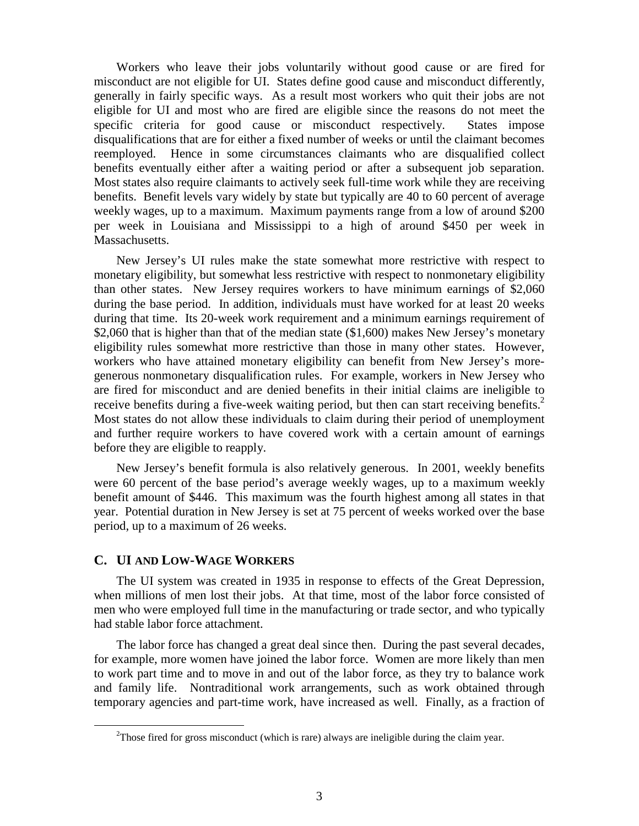Workers who leave their jobs voluntarily without good cause or are fired for misconduct are not eligible for UI. States define good cause and misconduct differently, generally in fairly specific ways. As a result most workers who quit their jobs are not eligible for UI and most who are fired are eligible since the reasons do not meet the specific criteria for good cause or misconduct respectively. States impose disqualifications that are for either a fixed number of weeks or until the claimant becomes reemployed. Hence in some circumstances claimants who are disqualified collect benefits eventually either after a waiting period or after a subsequent job separation. Most states also require claimants to actively seek full-time work while they are receiving benefits. Benefit levels vary widely by state but typically are 40 to 60 percent of average weekly wages, up to a maximum. Maximum payments range from a low of around \$200 per week in Louisiana and Mississippi to a high of around \$450 per week in Massachusetts.

New Jersey's UI rules make the state somewhat more restrictive with respect to monetary eligibility, but somewhat less restrictive with respect to nonmonetary eligibility than other states. New Jersey requires workers to have minimum earnings of \$2,060 during the base period. In addition, individuals must have worked for at least 20 weeks during that time. Its 20-week work requirement and a minimum earnings requirement of \$2,060 that is higher than that of the median state (\$1,600) makes New Jersey's monetary eligibility rules somewhat more restrictive than those in many other states. However, workers who have attained monetary eligibility can benefit from New Jersey's moregenerous nonmonetary disqualification rules. For example, workers in New Jersey who are fired for misconduct and are denied benefits in their initial claims are ineligible to receive benefits during a five-week waiting period, but then can start receiving benefits.<sup>2</sup> Most states do not allow these individuals to claim during their period of unemployment and further require workers to have covered work with a certain amount of earnings before they are eligible to reapply.

New Jersey's benefit formula is also relatively generous. In 2001, weekly benefits were 60 percent of the base period's average weekly wages, up to a maximum weekly benefit amount of \$446. This maximum was the fourth highest among all states in that year. Potential duration in New Jersey is set at 75 percent of weeks worked over the base period, up to a maximum of 26 weeks.

#### **C. UI AND LOW-WAGE WORKERS**

The UI system was created in 1935 in response to effects of the Great Depression, when millions of men lost their jobs. At that time, most of the labor force consisted of men who were employed full time in the manufacturing or trade sector, and who typically had stable labor force attachment.

The labor force has changed a great deal since then. During the past several decades, for example, more women have joined the labor force. Women are more likely than men to work part time and to move in and out of the labor force, as they try to balance work and family life. Nontraditional work arrangements, such as work obtained through temporary agencies and part-time work, have increased as well. Finally, as a fraction of

 <sup>2</sup>  $2$ Those fired for gross misconduct (which is rare) always are ineligible during the claim year.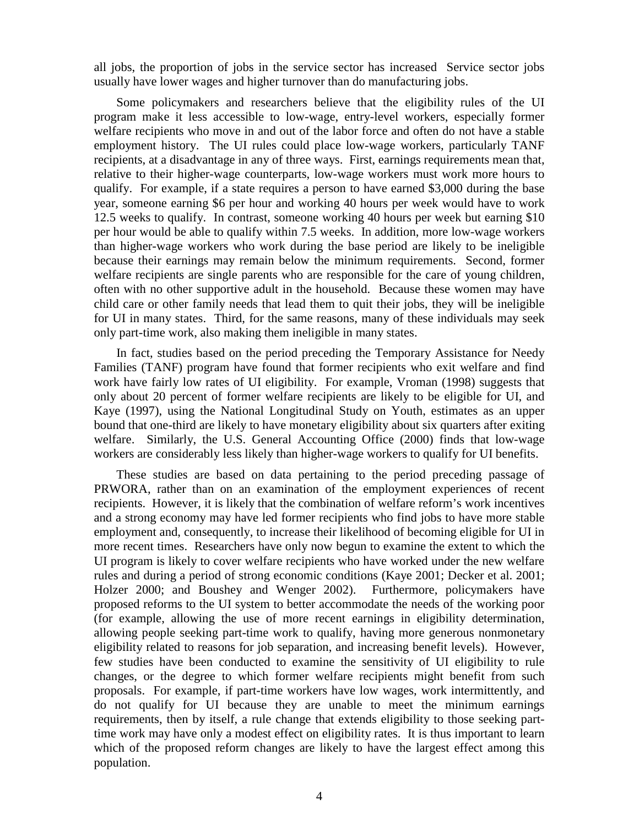all jobs, the proportion of jobs in the service sector has increased Service sector jobs usually have lower wages and higher turnover than do manufacturing jobs.

Some policymakers and researchers believe that the eligibility rules of the UI program make it less accessible to low-wage, entry-level workers, especially former welfare recipients who move in and out of the labor force and often do not have a stable employment history. The UI rules could place low-wage workers, particularly TANF recipients, at a disadvantage in any of three ways. First, earnings requirements mean that, relative to their higher-wage counterparts, low-wage workers must work more hours to qualify. For example, if a state requires a person to have earned \$3,000 during the base year, someone earning \$6 per hour and working 40 hours per week would have to work 12.5 weeks to qualify. In contrast, someone working 40 hours per week but earning \$10 per hour would be able to qualify within 7.5 weeks. In addition, more low-wage workers than higher-wage workers who work during the base period are likely to be ineligible because their earnings may remain below the minimum requirements. Second, former welfare recipients are single parents who are responsible for the care of young children, often with no other supportive adult in the household. Because these women may have child care or other family needs that lead them to quit their jobs, they will be ineligible for UI in many states. Third, for the same reasons, many of these individuals may seek only part-time work, also making them ineligible in many states.

In fact, studies based on the period preceding the Temporary Assistance for Needy Families (TANF) program have found that former recipients who exit welfare and find work have fairly low rates of UI eligibility. For example, Vroman (1998) suggests that only about 20 percent of former welfare recipients are likely to be eligible for UI, and Kaye (1997), using the National Longitudinal Study on Youth, estimates as an upper bound that one-third are likely to have monetary eligibility about six quarters after exiting welfare. Similarly, the U.S. General Accounting Office (2000) finds that low-wage workers are considerably less likely than higher-wage workers to qualify for UI benefits.

These studies are based on data pertaining to the period preceding passage of PRWORA, rather than on an examination of the employment experiences of recent recipients. However, it is likely that the combination of welfare reform's work incentives and a strong economy may have led former recipients who find jobs to have more stable employment and, consequently, to increase their likelihood of becoming eligible for UI in more recent times. Researchers have only now begun to examine the extent to which the UI program is likely to cover welfare recipients who have worked under the new welfare rules and during a period of strong economic conditions (Kaye 2001; Decker et al. 2001; Holzer 2000; and Boushey and Wenger 2002). Furthermore, policymakers have proposed reforms to the UI system to better accommodate the needs of the working poor (for example, allowing the use of more recent earnings in eligibility determination, allowing people seeking part-time work to qualify, having more generous nonmonetary eligibility related to reasons for job separation, and increasing benefit levels). However, few studies have been conducted to examine the sensitivity of UI eligibility to rule changes, or the degree to which former welfare recipients might benefit from such proposals. For example, if part-time workers have low wages, work intermittently, and do not qualify for UI because they are unable to meet the minimum earnings requirements, then by itself, a rule change that extends eligibility to those seeking parttime work may have only a modest effect on eligibility rates. It is thus important to learn which of the proposed reform changes are likely to have the largest effect among this population.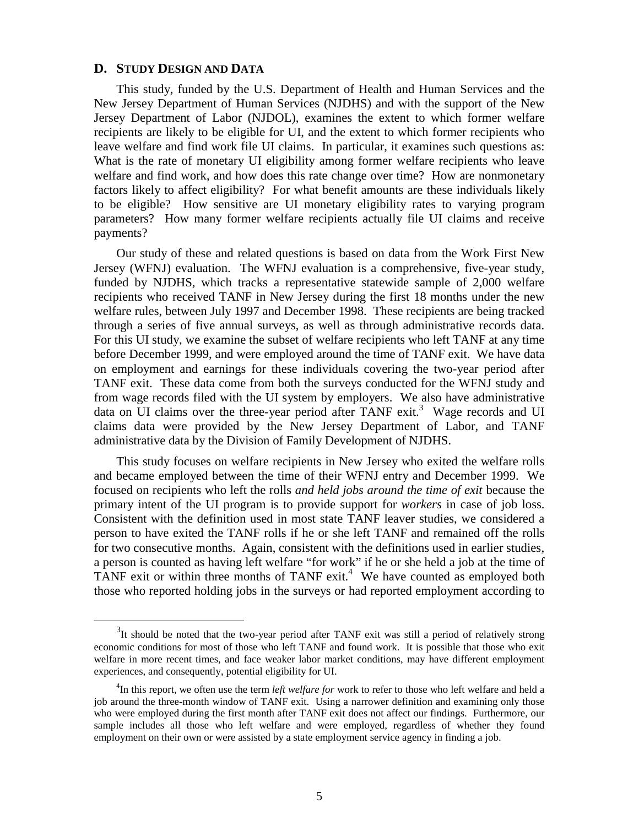## **D. STUDY DESIGN AND DATA**

This study, funded by the U.S. Department of Health and Human Services and the New Jersey Department of Human Services (NJDHS) and with the support of the New Jersey Department of Labor (NJDOL), examines the extent to which former welfare recipients are likely to be eligible for UI, and the extent to which former recipients who leave welfare and find work file UI claims. In particular, it examines such questions as: What is the rate of monetary UI eligibility among former welfare recipients who leave welfare and find work, and how does this rate change over time? How are nonmonetary factors likely to affect eligibility? For what benefit amounts are these individuals likely to be eligible? How sensitive are UI monetary eligibility rates to varying program parameters? How many former welfare recipients actually file UI claims and receive payments?

Our study of these and related questions is based on data from the Work First New Jersey (WFNJ) evaluation. The WFNJ evaluation is a comprehensive, five-year study, funded by NJDHS, which tracks a representative statewide sample of 2,000 welfare recipients who received TANF in New Jersey during the first 18 months under the new welfare rules, between July 1997 and December 1998. These recipients are being tracked through a series of five annual surveys, as well as through administrative records data. For this UI study, we examine the subset of welfare recipients who left TANF at any time before December 1999, and were employed around the time of TANF exit. We have data on employment and earnings for these individuals covering the two-year period after TANF exit. These data come from both the surveys conducted for the WFNJ study and from wage records filed with the UI system by employers. We also have administrative data on UI claims over the three-year period after TANF exit.<sup>3</sup> Wage records and UI claims data were provided by the New Jersey Department of Labor, and TANF administrative data by the Division of Family Development of NJDHS.

This study focuses on welfare recipients in New Jersey who exited the welfare rolls and became employed between the time of their WFNJ entry and December 1999. We focused on recipients who left the rolls *and held jobs around the time of exit* because the primary intent of the UI program is to provide support for *workers* in case of job loss. Consistent with the definition used in most state TANF leaver studies, we considered a person to have exited the TANF rolls if he or she left TANF and remained off the rolls for two consecutive months. Again, consistent with the definitions used in earlier studies, a person is counted as having left welfare "for work" if he or she held a job at the time of TANF exit or within three months of TANF exit.<sup>4</sup> We have counted as employed both those who reported holding jobs in the surveys or had reported employment according to

 <sup>3</sup>  $3$ It should be noted that the two-year period after TANF exit was still a period of relatively strong economic conditions for most of those who left TANF and found work. It is possible that those who exit welfare in more recent times, and face weaker labor market conditions, may have different employment experiences, and consequently, potential eligibility for UI.

<sup>4</sup> In this report, we often use the term *left welfare for* work to refer to those who left welfare and held a job around the three-month window of TANF exit. Using a narrower definition and examining only those who were employed during the first month after TANF exit does not affect our findings. Furthermore, our sample includes all those who left welfare and were employed, regardless of whether they found employment on their own or were assisted by a state employment service agency in finding a job.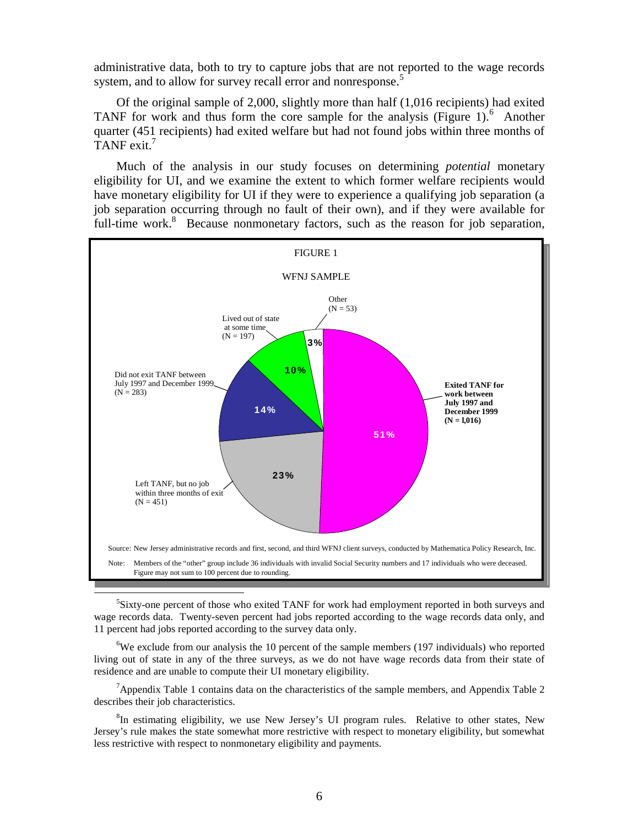administrative data, both to try to capture jobs that are not reported to the wage records system, and to allow for survey recall error and nonresponse.<sup>5</sup>

Of the original sample of 2,000, slightly more than half (1,016 recipients) had exited TANF for work and thus form the core sample for the analysis (Figure 1). $<sup>6</sup>$  Another</sup> quarter (451 recipients) had exited welfare but had not found jobs within three months of TANF exit.7

Much of the analysis in our study focuses on determining *potential* monetary eligibility for UI, and we examine the extent to which former welfare recipients would have monetary eligibility for UI if they were to experience a qualifying job separation (a job separation occurring through no fault of their own), and if they were available for full-time work.<sup>8</sup> Because nonmonetary factors, such as the reason for job separation,



Sixty-one percent of those who exited TANF for work had employment reported in both surveys and wage records data. Twenty-seven percent had jobs reported according to the wage records data only, and 11 percent had jobs reported according to the survey data only.

 ${}^{6}$ We exclude from our analysis the 10 percent of the sample members (197 individuals) who reported living out of state in any of the three surveys, as we do not have wage records data from their state of residence and are unable to compute their UI monetary eligibility.

<sup>7</sup>Appendix Table 1 contains data on the characteristics of the sample members, and Appendix Table 2 describes their job characteristics.

<sup>8</sup>In estimating eligibility, we use New Jersey's UI program rules. Relative to other states, New Jersey's rule makes the state somewhat more restrictive with respect to monetary eligibility, but somewhat less restrictive with respect to nonmonetary eligibility and payments.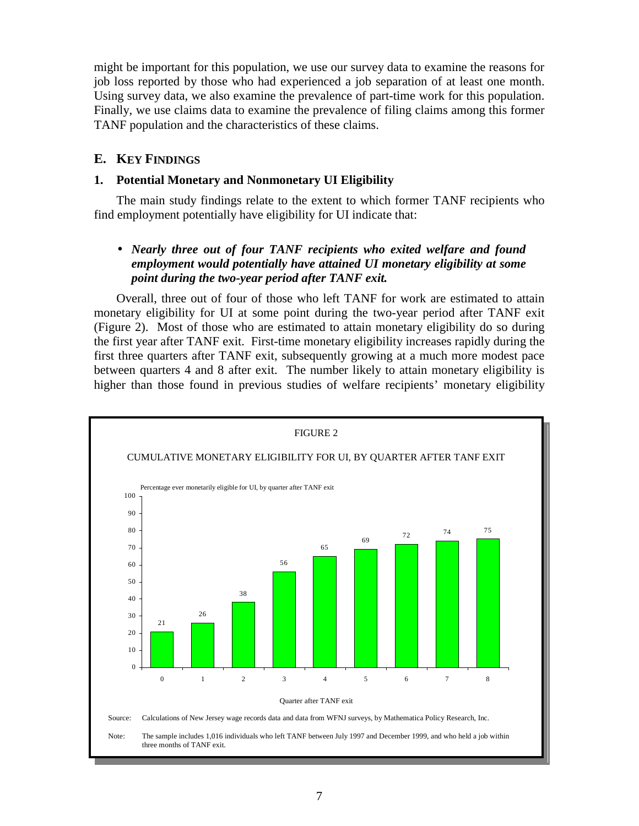might be important for this population, we use our survey data to examine the reasons for job loss reported by those who had experienced a job separation of at least one month. Using survey data, we also examine the prevalence of part-time work for this population. Finally, we use claims data to examine the prevalence of filing claims among this former TANF population and the characteristics of these claims.

## **E. KEY FINDINGS**

### **1. Potential Monetary and Nonmonetary UI Eligibility**

The main study findings relate to the extent to which former TANF recipients who find employment potentially have eligibility for UI indicate that:

# • *Nearly three out of four TANF recipients who exited welfare and found employment would potentially have attained UI monetary eligibility at some point during the two-year period after TANF exit.*

Overall, three out of four of those who left TANF for work are estimated to attain monetary eligibility for UI at some point during the two-year period after TANF exit (Figure 2). Most of those who are estimated to attain monetary eligibility do so during the first year after TANF exit. First-time monetary eligibility increases rapidly during the first three quarters after TANF exit, subsequently growing at a much more modest pace between quarters 4 and 8 after exit. The number likely to attain monetary eligibility is higher than those found in previous studies of welfare recipients' monetary eligibility

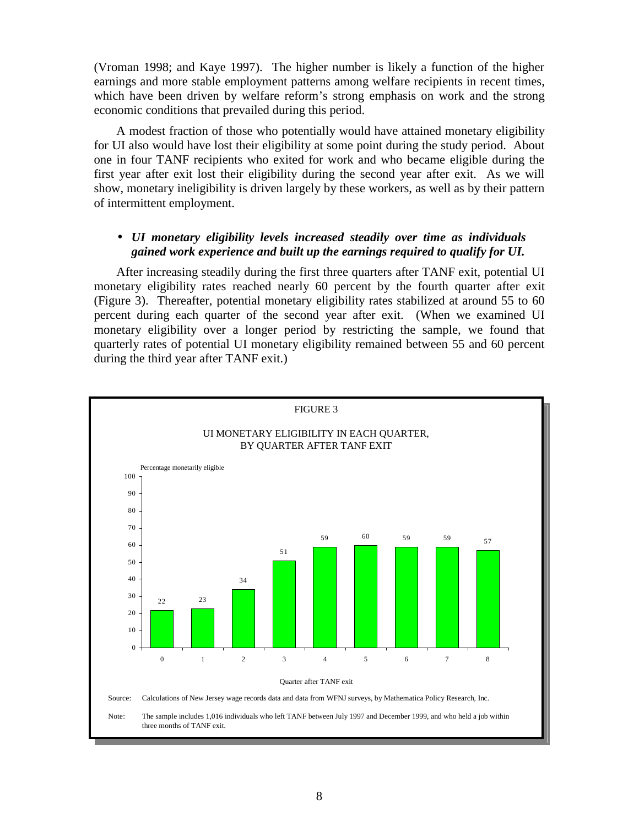(Vroman 1998; and Kaye 1997). The higher number is likely a function of the higher earnings and more stable employment patterns among welfare recipients in recent times, which have been driven by welfare reform's strong emphasis on work and the strong economic conditions that prevailed during this period.

A modest fraction of those who potentially would have attained monetary eligibility for UI also would have lost their eligibility at some point during the study period. About one in four TANF recipients who exited for work and who became eligible during the first year after exit lost their eligibility during the second year after exit. As we will show, monetary ineligibility is driven largely by these workers, as well as by their pattern of intermittent employment.

### • *UI monetary eligibility levels increased steadily over time as individuals gained work experience and built up the earnings required to qualify for UI.*

After increasing steadily during the first three quarters after TANF exit, potential UI monetary eligibility rates reached nearly 60 percent by the fourth quarter after exit (Figure 3). Thereafter, potential monetary eligibility rates stabilized at around 55 to 60 percent during each quarter of the second year after exit. (When we examined UI monetary eligibility over a longer period by restricting the sample, we found that quarterly rates of potential UI monetary eligibility remained between 55 and 60 percent during the third year after TANF exit.)

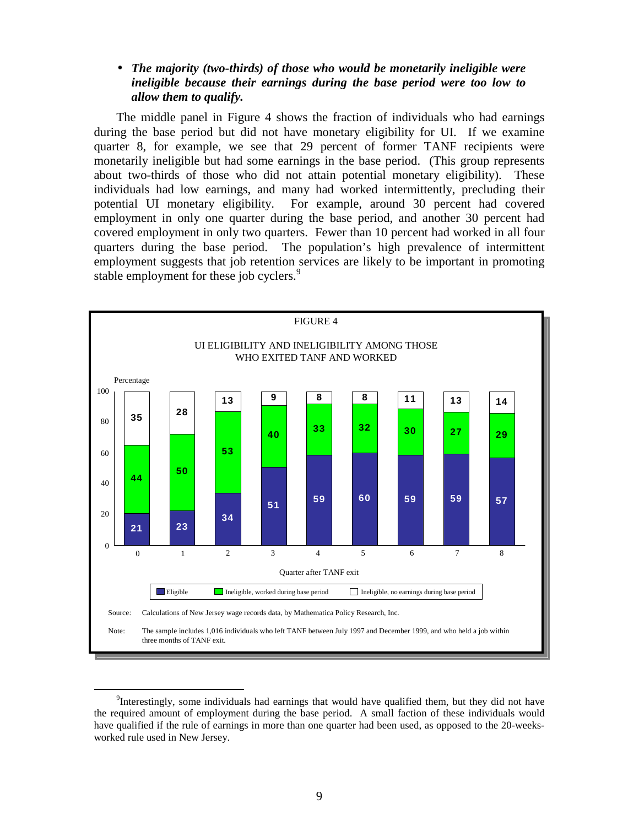### • *The majority (two-thirds) of those who would be monetarily ineligible were ineligible because their earnings during the base period were too low to allow them to qualify.*

The middle panel in Figure 4 shows the fraction of individuals who had earnings during the base period but did not have monetary eligibility for UI. If we examine quarter 8, for example, we see that 29 percent of former TANF recipients were monetarily ineligible but had some earnings in the base period. (This group represents about two-thirds of those who did not attain potential monetary eligibility). These individuals had low earnings, and many had worked intermittently, precluding their potential UI monetary eligibility. For example, around 30 percent had covered employment in only one quarter during the base period, and another 30 percent had covered employment in only two quarters. Fewer than 10 percent had worked in all four quarters during the base period. The population's high prevalence of intermittent employment suggests that job retention services are likely to be important in promoting stable employment for these job cyclers.<sup>9</sup>



 <sup>9</sup> <sup>9</sup>Interestingly, some individuals had earnings that would have qualified them, but they did not have the required amount of employment during the base period. A small faction of these individuals would have qualified if the rule of earnings in more than one quarter had been used, as opposed to the 20-weeksworked rule used in New Jersey.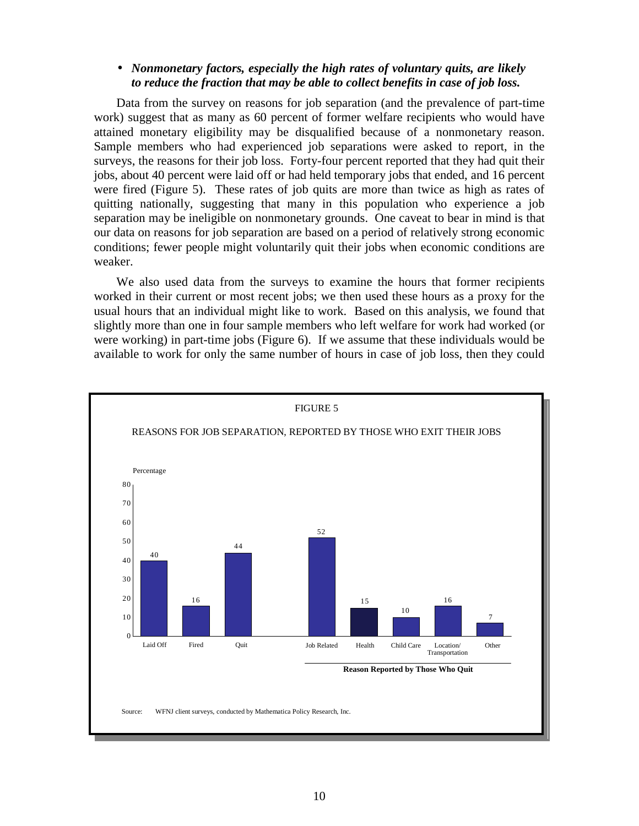#### • *Nonmonetary factors, especially the high rates of voluntary quits, are likely to reduce the fraction that may be able to collect benefits in case of job loss.*

Data from the survey on reasons for job separation (and the prevalence of part-time work) suggest that as many as 60 percent of former welfare recipients who would have attained monetary eligibility may be disqualified because of a nonmonetary reason. Sample members who had experienced job separations were asked to report, in the surveys, the reasons for their job loss. Forty-four percent reported that they had quit their jobs, about 40 percent were laid off or had held temporary jobs that ended, and 16 percent were fired (Figure 5). These rates of job quits are more than twice as high as rates of quitting nationally, suggesting that many in this population who experience a job separation may be ineligible on nonmonetary grounds. One caveat to bear in mind is that our data on reasons for job separation are based on a period of relatively strong economic conditions; fewer people might voluntarily quit their jobs when economic conditions are weaker.

We also used data from the surveys to examine the hours that former recipients worked in their current or most recent jobs; we then used these hours as a proxy for the usual hours that an individual might like to work. Based on this analysis, we found that slightly more than one in four sample members who left welfare for work had worked (or were working) in part-time jobs (Figure 6). If we assume that these individuals would be available to work for only the same number of hours in case of job loss, then they could

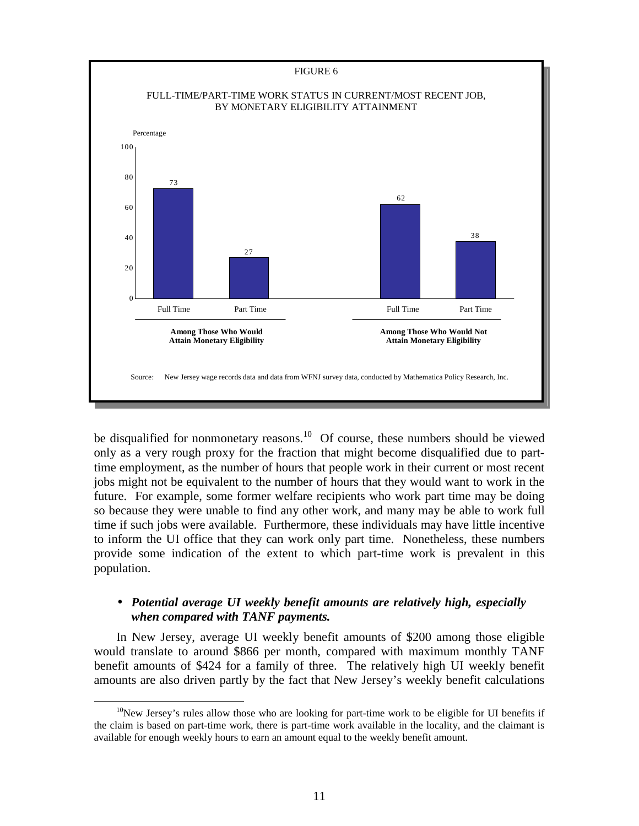

be disqualified for nonmonetary reasons.<sup>10</sup> Of course, these numbers should be viewed only as a very rough proxy for the fraction that might become disqualified due to parttime employment, as the number of hours that people work in their current or most recent jobs might not be equivalent to the number of hours that they would want to work in the future. For example, some former welfare recipients who work part time may be doing so because they were unable to find any other work, and many may be able to work full time if such jobs were available. Furthermore, these individuals may have little incentive to inform the UI office that they can work only part time. Nonetheless, these numbers provide some indication of the extent to which part-time work is prevalent in this population.

### • *Potential average UI weekly benefit amounts are relatively high, especially when compared with TANF payments.*

In New Jersey, average UI weekly benefit amounts of \$200 among those eligible would translate to around \$866 per month, compared with maximum monthly TANF benefit amounts of \$424 for a family of three. The relatively high UI weekly benefit amounts are also driven partly by the fact that New Jersey's weekly benefit calculations

 $10$ New Jersey's rules allow those who are looking for part-time work to be eligible for UI benefits if the claim is based on part-time work, there is part-time work available in the locality, and the claimant is available for enough weekly hours to earn an amount equal to the weekly benefit amount.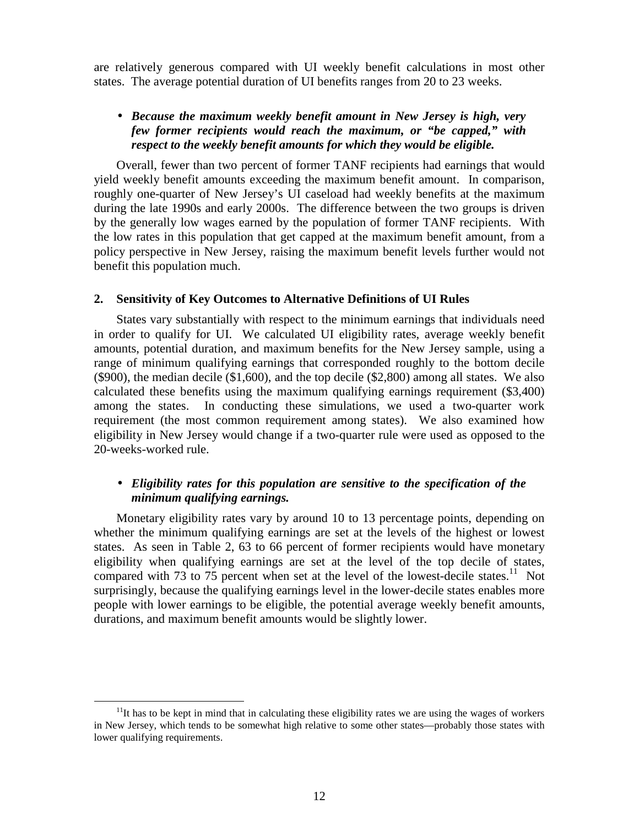are relatively generous compared with UI weekly benefit calculations in most other states. The average potential duration of UI benefits ranges from 20 to 23 weeks.

#### • *Because the maximum weekly benefit amount in New Jersey is high, very few former recipients would reach the maximum, or "be capped," with respect to the weekly benefit amounts for which they would be eligible.*

Overall, fewer than two percent of former TANF recipients had earnings that would yield weekly benefit amounts exceeding the maximum benefit amount. In comparison, roughly one-quarter of New Jersey's UI caseload had weekly benefits at the maximum during the late 1990s and early 2000s. The difference between the two groups is driven by the generally low wages earned by the population of former TANF recipients. With the low rates in this population that get capped at the maximum benefit amount, from a policy perspective in New Jersey, raising the maximum benefit levels further would not benefit this population much.

#### **2. Sensitivity of Key Outcomes to Alternative Definitions of UI Rules**

States vary substantially with respect to the minimum earnings that individuals need in order to qualify for UI. We calculated UI eligibility rates, average weekly benefit amounts, potential duration, and maximum benefits for the New Jersey sample, using a range of minimum qualifying earnings that corresponded roughly to the bottom decile (\$900), the median decile (\$1,600), and the top decile (\$2,800) among all states. We also calculated these benefits using the maximum qualifying earnings requirement (\$3,400) among the states. In conducting these simulations, we used a two-quarter work requirement (the most common requirement among states). We also examined how eligibility in New Jersey would change if a two-quarter rule were used as opposed to the 20-weeks-worked rule.

### • *Eligibility rates for this population are sensitive to the specification of the minimum qualifying earnings.*

Monetary eligibility rates vary by around 10 to 13 percentage points, depending on whether the minimum qualifying earnings are set at the levels of the highest or lowest states. As seen in Table 2, 63 to 66 percent of former recipients would have monetary eligibility when qualifying earnings are set at the level of the top decile of states, compared with 73 to 75 percent when set at the level of the lowest-decile states.<sup>11</sup> Not surprisingly, because the qualifying earnings level in the lower-decile states enables more people with lower earnings to be eligible, the potential average weekly benefit amounts, durations, and maximum benefit amounts would be slightly lower.

 $11$ It has to be kept in mind that in calculating these eligibility rates we are using the wages of workers in New Jersey, which tends to be somewhat high relative to some other states—probably those states with lower qualifying requirements.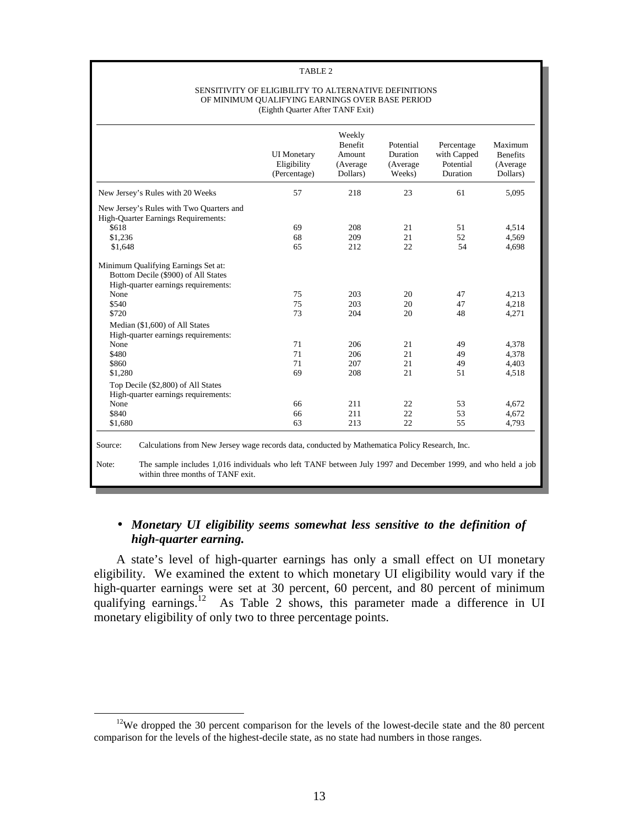#### TABLE 2

#### SENSITIVITY OF ELIGIBILITY TO ALTERNATIVE DEFINITIONS OF MINIMUM QUALIFYING EARNINGS OVER BASE PERIOD (Eighth Quarter After TANF Exit)

|                                                                                                                           | <b>UI</b> Monetary<br>Eligibility<br>(Percentage) | Weekly<br><b>Benefit</b><br>Amount<br>(Average<br>Dollars) | Potential<br>Duration<br>(Average<br>Weeks) | Percentage<br>with Capped<br>Potential<br>Duration | Maximum<br><b>Benefits</b><br>(Average<br>Dollars) |
|---------------------------------------------------------------------------------------------------------------------------|---------------------------------------------------|------------------------------------------------------------|---------------------------------------------|----------------------------------------------------|----------------------------------------------------|
| New Jersey's Rules with 20 Weeks                                                                                          | 57                                                | 218                                                        | 23                                          | 61                                                 | 5,095                                              |
| New Jersey's Rules with Two Quarters and<br><b>High-Quarter Earnings Requirements:</b><br>\$618<br>\$1,236<br>\$1,648     | 69<br>68<br>65                                    | 208<br>209<br>212                                          | 21<br>21<br>22                              | 51<br>52<br>54                                     | 4,514<br>4,569<br>4,698                            |
| Minimum Qualifying Earnings Set at:<br>Bottom Decile (\$900) of All States<br>High-quarter earnings requirements:<br>None | 75                                                | 203                                                        | 20                                          | 47                                                 | 4,213                                              |
| \$540<br>\$720                                                                                                            | 75<br>73                                          | 203<br>204                                                 | 20<br>20                                    | 47<br>48                                           | 4,218<br>4,271                                     |
| Median (\$1,600) of All States<br>High-quarter earnings requirements:                                                     |                                                   |                                                            |                                             |                                                    |                                                    |
| None                                                                                                                      | 71                                                | 206                                                        | 21                                          | 49                                                 | 4,378                                              |
| \$480                                                                                                                     | 71                                                | 206                                                        | 21                                          | 49                                                 | 4,378                                              |
| \$860                                                                                                                     | 71                                                | 207                                                        | 21                                          | 49                                                 | 4,403                                              |
| \$1,280                                                                                                                   | 69                                                | 208                                                        | 21                                          | 51                                                 | 4,518                                              |
| Top Decile (\$2,800) of All States<br>High-quarter earnings requirements:                                                 |                                                   |                                                            |                                             |                                                    |                                                    |
| None                                                                                                                      | 66                                                | 211                                                        | 22                                          | 53                                                 | 4,672                                              |
| \$840                                                                                                                     | 66                                                | 211                                                        | 22                                          | 53                                                 | 4,672                                              |
| \$1,680                                                                                                                   | 63                                                | 213                                                        | 22                                          | 55                                                 | 4,793                                              |

# • *Monetary UI eligibility seems somewhat less sensitive to the definition of high-quarter earning.*

A state's level of high-quarter earnings has only a small effect on UI monetary eligibility. We examined the extent to which monetary UI eligibility would vary if the high-quarter earnings were set at 30 percent, 60 percent, and 80 percent of minimum qualifying earnings.<sup>12</sup> As Table 2 shows, this parameter made a difference in UI monetary eligibility of only two to three percentage points.

 $12$ We dropped the 30 percent comparison for the levels of the lowest-decile state and the 80 percent comparison for the levels of the highest-decile state, as no state had numbers in those ranges.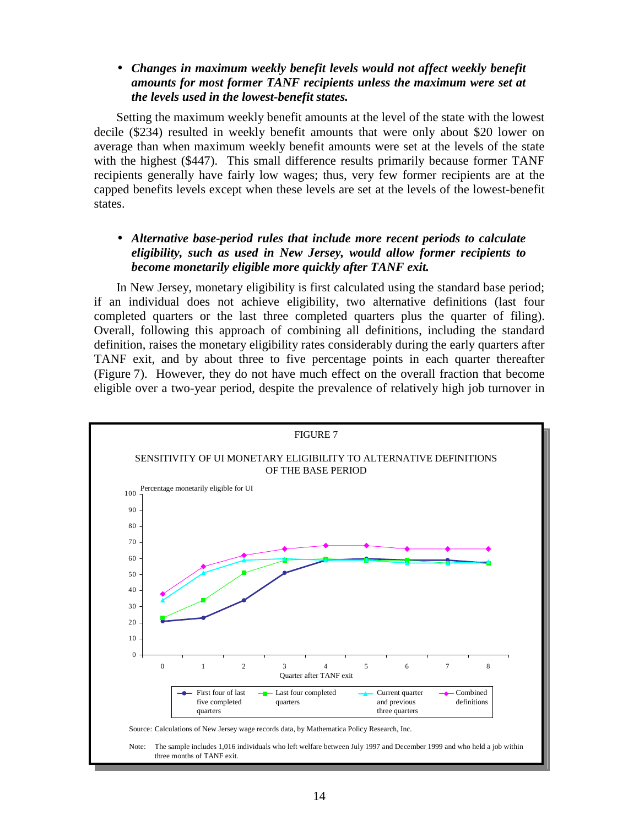### • *Changes in maximum weekly benefit levels would not affect weekly benefit amounts for most former TANF recipients unless the maximum were set at the levels used in the lowest-benefit states.*

Setting the maximum weekly benefit amounts at the level of the state with the lowest decile (\$234) resulted in weekly benefit amounts that were only about \$20 lower on average than when maximum weekly benefit amounts were set at the levels of the state with the highest (\$447). This small difference results primarily because former TANF recipients generally have fairly low wages; thus, very few former recipients are at the capped benefits levels except when these levels are set at the levels of the lowest-benefit states.

# • *Alternative base-period rules that include more recent periods to calculate eligibility, such as used in New Jersey, would allow former recipients to become monetarily eligible more quickly after TANF exit.*

In New Jersey, monetary eligibility is first calculated using the standard base period; if an individual does not achieve eligibility, two alternative definitions (last four completed quarters or the last three completed quarters plus the quarter of filing). Overall, following this approach of combining all definitions, including the standard definition, raises the monetary eligibility rates considerably during the early quarters after TANF exit, and by about three to five percentage points in each quarter thereafter (Figure 7). However, they do not have much effect on the overall fraction that become eligible over a two-year period, despite the prevalence of relatively high job turnover in

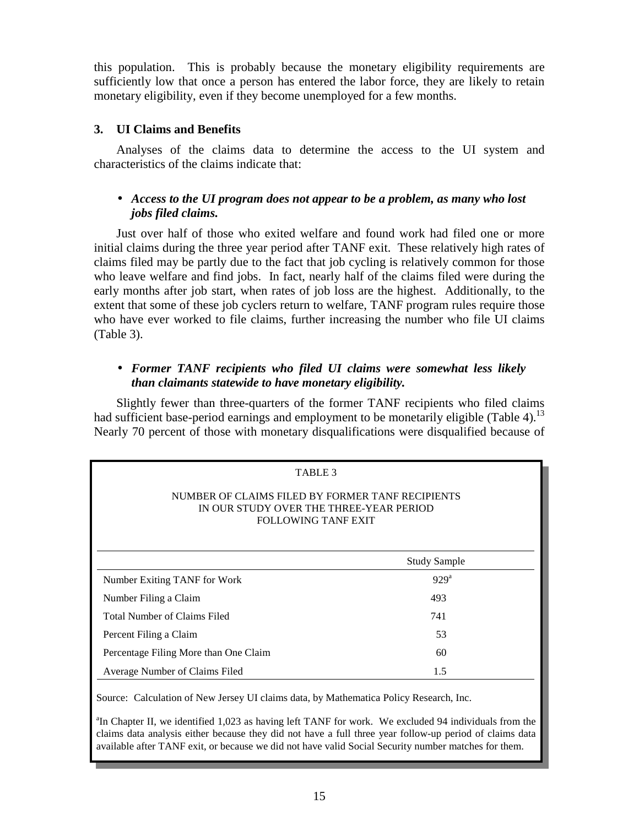this population. This is probably because the monetary eligibility requirements are sufficiently low that once a person has entered the labor force, they are likely to retain monetary eligibility, even if they become unemployed for a few months.

# **3. UI Claims and Benefits**

Analyses of the claims data to determine the access to the UI system and characteristics of the claims indicate that:

## • *Access to the UI program does not appear to be a problem, as many who lost jobs filed claims.*

Just over half of those who exited welfare and found work had filed one or more initial claims during the three year period after TANF exit. These relatively high rates of claims filed may be partly due to the fact that job cycling is relatively common for those who leave welfare and find jobs. In fact, nearly half of the claims filed were during the early months after job start, when rates of job loss are the highest. Additionally, to the extent that some of these job cyclers return to welfare, TANF program rules require those who have ever worked to file claims, further increasing the number who file UI claims (Table 3).

# • *Former TANF recipients who filed UI claims were somewhat less likely than claimants statewide to have monetary eligibility.*

Slightly fewer than three-quarters of the former TANF recipients who filed claims had sufficient base-period earnings and employment to be monetarily eligible (Table 4).<sup>13</sup> Nearly 70 percent of those with monetary disqualifications were disqualified because of

| TABLE <sub>3</sub>                                                                                                 |                     |  |
|--------------------------------------------------------------------------------------------------------------------|---------------------|--|
| NUMBER OF CLAIMS FILED BY FORMER TANF RECIPIENTS<br>IN OUR STUDY OVER THE THREE-YEAR PERIOD<br>FOLLOWING TANF EXIT |                     |  |
|                                                                                                                    | <b>Study Sample</b> |  |
| Number Exiting TANF for Work                                                                                       | 929 <sup>a</sup>    |  |
| Number Filing a Claim                                                                                              | 493                 |  |
| <b>Total Number of Claims Filed</b>                                                                                | 741                 |  |
| Percent Filing a Claim                                                                                             | 53                  |  |
| Percentage Filing More than One Claim                                                                              | 60                  |  |
| Average Number of Claims Filed                                                                                     | 1.5                 |  |

Source: Calculation of New Jersey UI claims data, by Mathematica Policy Research, Inc.

<sup>a</sup>In Chapter II, we identified 1,023 as having left TANF for work. We excluded 94 individuals from the claims data analysis either because they did not have a full three year follow-up period of claims data <sup>a</sup>In Chapter II, we identified 1,023 as having left TANF for work. We excluded 94 individuals from the available after TANF exit, or because we did not have valid Social Security number matches for them.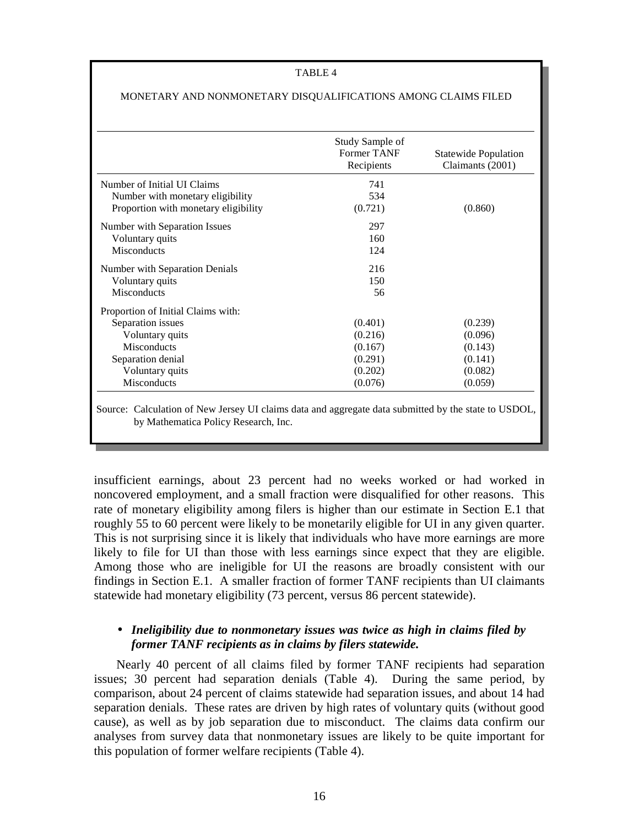#### TABLE 4

|                                      | Study Sample of<br>Former TANF<br>Recipients | <b>Statewide Population</b><br>Claimants (2001) |
|--------------------------------------|----------------------------------------------|-------------------------------------------------|
| Number of Initial UI Claims          | 741                                          |                                                 |
| Number with monetary eligibility     | 534                                          |                                                 |
| Proportion with monetary eligibility | (0.721)                                      | (0.860)                                         |
| Number with Separation Issues        | 297                                          |                                                 |
| Voluntary quits                      | 160                                          |                                                 |
| <b>Misconducts</b>                   | 124                                          |                                                 |
| Number with Separation Denials       | 216                                          |                                                 |
| Voluntary quits                      | 150                                          |                                                 |
| <b>Misconducts</b>                   | 56                                           |                                                 |
| Proportion of Initial Claims with:   |                                              |                                                 |
| Separation issues                    | (0.401)                                      | (0.239)                                         |
| Voluntary quits                      | (0.216)                                      | (0.096)                                         |
| Misconducts                          | (0.167)                                      | (0.143)                                         |
| Separation denial                    | (0.291)                                      | (0.141)                                         |
| Voluntary quits                      | (0.202)                                      | (0.082)                                         |
| Misconducts                          | (0.076)                                      | (0.059)                                         |

#### MONETARY AND NONMONETARY DISQUALIFICATIONS AMONG CLAIMS FILED

Source: Calculation of New Jersey UI claims data and aggregate data submitted by the state to USDOL, by Mathematica Policy Research, Inc.

insufficient earnings, about 23 percent had no weeks worked or had worked in noncovered employment, and a small fraction were disqualified for other reasons. This rate of monetary eligibility among filers is higher than our estimate in Section E.1 that roughly 55 to 60 percent were likely to be monetarily eligible for UI in any given quarter. This is not surprising since it is likely that individuals who have more earnings are more likely to file for UI than those with less earnings since expect that they are eligible. Among those who are ineligible for UI the reasons are broadly consistent with our findings in Section E.1. A smaller fraction of former TANF recipients than UI claimants statewide had monetary eligibility (73 percent, versus 86 percent statewide).

### • *Ineligibility due to nonmonetary issues was twice as high in claims filed by former TANF recipients as in claims by filers statewide.*

Nearly 40 percent of all claims filed by former TANF recipients had separation issues; 30 percent had separation denials (Table 4). During the same period, by comparison, about 24 percent of claims statewide had separation issues, and about 14 had separation denials. These rates are driven by high rates of voluntary quits (without good cause), as well as by job separation due to misconduct. The claims data confirm our analyses from survey data that nonmonetary issues are likely to be quite important for this population of former welfare recipients (Table 4).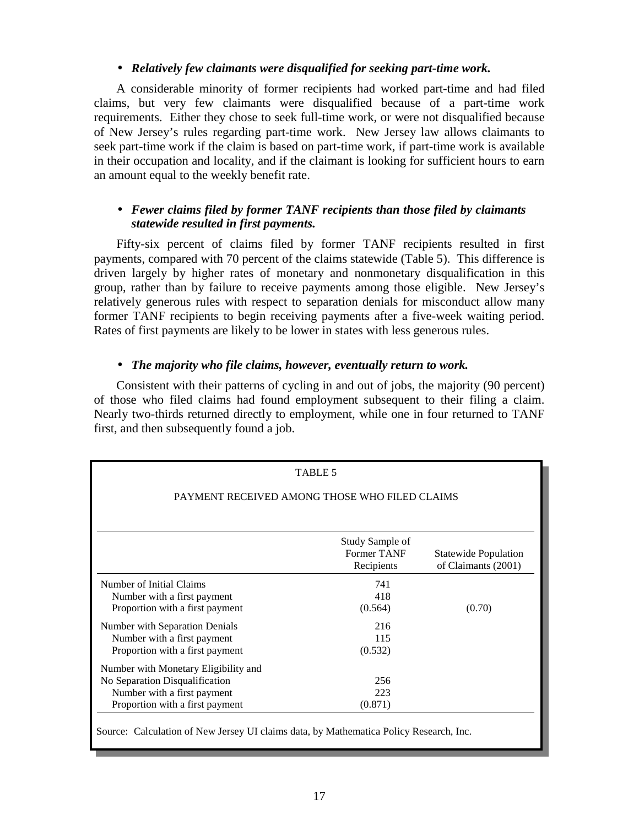#### • *Relatively few claimants were disqualified for seeking part-time work.*

A considerable minority of former recipients had worked part-time and had filed claims, but very few claimants were disqualified because of a part-time work requirements. Either they chose to seek full-time work, or were not disqualified because of New Jersey's rules regarding part-time work. New Jersey law allows claimants to seek part-time work if the claim is based on part-time work, if part-time work is available in their occupation and locality, and if the claimant is looking for sufficient hours to earn an amount equal to the weekly benefit rate.

### • *Fewer claims filed by former TANF recipients than those filed by claimants statewide resulted in first payments.*

Fifty-six percent of claims filed by former TANF recipients resulted in first payments, compared with 70 percent of the claims statewide (Table 5). This difference is driven largely by higher rates of monetary and nonmonetary disqualification in this group, rather than by failure to receive payments among those eligible. New Jersey's relatively generous rules with respect to separation denials for misconduct allow many former TANF recipients to begin receiving payments after a five-week waiting period. Rates of first payments are likely to be lower in states with less generous rules.

### • *The majority who file claims, however, eventually return to work.*

Consistent with their patterns of cycling in and out of jobs, the majority (90 percent) of those who filed claims had found employment subsequent to their filing a claim. Nearly two-thirds returned directly to employment, while one in four returned to TANF first, and then subsequently found a job.

|                                                                                                                                          | TABLE 5                                      |                                                    |
|------------------------------------------------------------------------------------------------------------------------------------------|----------------------------------------------|----------------------------------------------------|
| PAYMENT RECEIVED AMONG THOSE WHO FILED CLAIMS                                                                                            |                                              |                                                    |
|                                                                                                                                          | Study Sample of<br>Former TANF<br>Recipients | <b>Statewide Population</b><br>of Claimants (2001) |
| Number of Initial Claims<br>Number with a first payment<br>Proportion with a first payment                                               | 741<br>418<br>(0.564)                        | (0.70)                                             |
| Number with Separation Denials<br>Number with a first payment<br>Proportion with a first payment                                         | 216<br>115<br>(0.532)                        |                                                    |
| Number with Monetary Eligibility and<br>No Separation Disqualification<br>Number with a first payment<br>Proportion with a first payment | 256<br>223<br>(0.871)                        |                                                    |
| Source: Calculation of New Jersey UI claims data, by Mathematica Policy Research, Inc.                                                   |                                              |                                                    |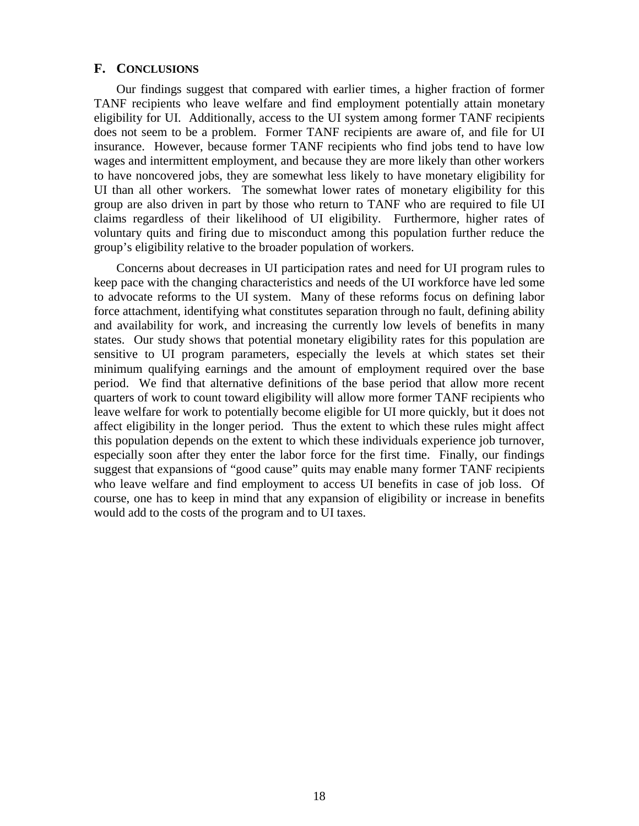#### **F. CONCLUSIONS**

Our findings suggest that compared with earlier times, a higher fraction of former TANF recipients who leave welfare and find employment potentially attain monetary eligibility for UI. Additionally, access to the UI system among former TANF recipients does not seem to be a problem. Former TANF recipients are aware of, and file for UI insurance. However, because former TANF recipients who find jobs tend to have low wages and intermittent employment, and because they are more likely than other workers to have noncovered jobs, they are somewhat less likely to have monetary eligibility for UI than all other workers. The somewhat lower rates of monetary eligibility for this group are also driven in part by those who return to TANF who are required to file UI claims regardless of their likelihood of UI eligibility. Furthermore, higher rates of voluntary quits and firing due to misconduct among this population further reduce the group's eligibility relative to the broader population of workers.

Concerns about decreases in UI participation rates and need for UI program rules to keep pace with the changing characteristics and needs of the UI workforce have led some to advocate reforms to the UI system. Many of these reforms focus on defining labor force attachment, identifying what constitutes separation through no fault, defining ability and availability for work, and increasing the currently low levels of benefits in many states. Our study shows that potential monetary eligibility rates for this population are sensitive to UI program parameters, especially the levels at which states set their minimum qualifying earnings and the amount of employment required over the base period. We find that alternative definitions of the base period that allow more recent quarters of work to count toward eligibility will allow more former TANF recipients who leave welfare for work to potentially become eligible for UI more quickly, but it does not affect eligibility in the longer period. Thus the extent to which these rules might affect this population depends on the extent to which these individuals experience job turnover, especially soon after they enter the labor force for the first time. Finally, our findings suggest that expansions of "good cause" quits may enable many former TANF recipients who leave welfare and find employment to access UI benefits in case of job loss. Of course, one has to keep in mind that any expansion of eligibility or increase in benefits would add to the costs of the program and to UI taxes.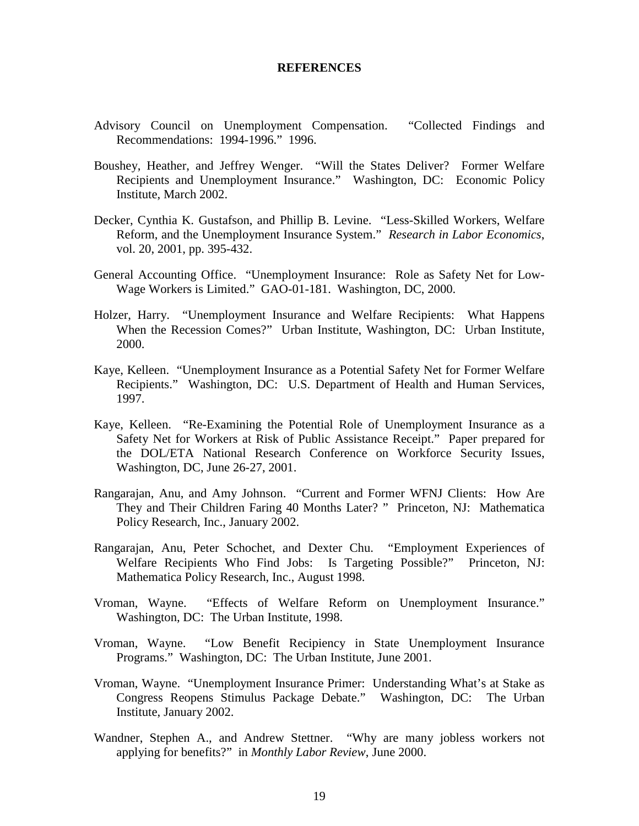#### **REFERENCES**

- Advisory Council on Unemployment Compensation. "Collected Findings and Recommendations: 1994-1996." 1996.
- Boushey, Heather, and Jeffrey Wenger. "Will the States Deliver? Former Welfare Recipients and Unemployment Insurance." Washington, DC: Economic Policy Institute, March 2002.
- Decker, Cynthia K. Gustafson, and Phillip B. Levine. "Less-Skilled Workers, Welfare Reform, and the Unemployment Insurance System." *Research in Labor Economics*, vol. 20, 2001, pp. 395-432.
- General Accounting Office. "Unemployment Insurance: Role as Safety Net for Low-Wage Workers is Limited." GAO-01-181. Washington, DC, 2000.
- Holzer, Harry. "Unemployment Insurance and Welfare Recipients: What Happens When the Recession Comes?" Urban Institute, Washington, DC: Urban Institute, 2000.
- Kaye, Kelleen. "Unemployment Insurance as a Potential Safety Net for Former Welfare Recipients." Washington, DC: U.S. Department of Health and Human Services, 1997.
- Kaye, Kelleen. "Re-Examining the Potential Role of Unemployment Insurance as a Safety Net for Workers at Risk of Public Assistance Receipt." Paper prepared for the DOL/ETA National Research Conference on Workforce Security Issues, Washington, DC, June 26-27, 2001.
- Rangarajan, Anu, and Amy Johnson. "Current and Former WFNJ Clients: How Are They and Their Children Faring 40 Months Later? " Princeton, NJ: Mathematica Policy Research, Inc., January 2002.
- Rangarajan, Anu, Peter Schochet, and Dexter Chu. "Employment Experiences of Welfare Recipients Who Find Jobs: Is Targeting Possible?" Princeton, NJ: Mathematica Policy Research, Inc., August 1998.
- Vroman, Wayne. "Effects of Welfare Reform on Unemployment Insurance." Washington, DC: The Urban Institute, 1998.
- Vroman, Wayne. "Low Benefit Recipiency in State Unemployment Insurance Programs." Washington, DC: The Urban Institute, June 2001.
- Vroman, Wayne. "Unemployment Insurance Primer: Understanding What's at Stake as Congress Reopens Stimulus Package Debate." Washington, DC: The Urban Institute, January 2002.
- Wandner, Stephen A., and Andrew Stettner. "Why are many jobless workers not applying for benefits?" in *Monthly Labor Review*, June 2000.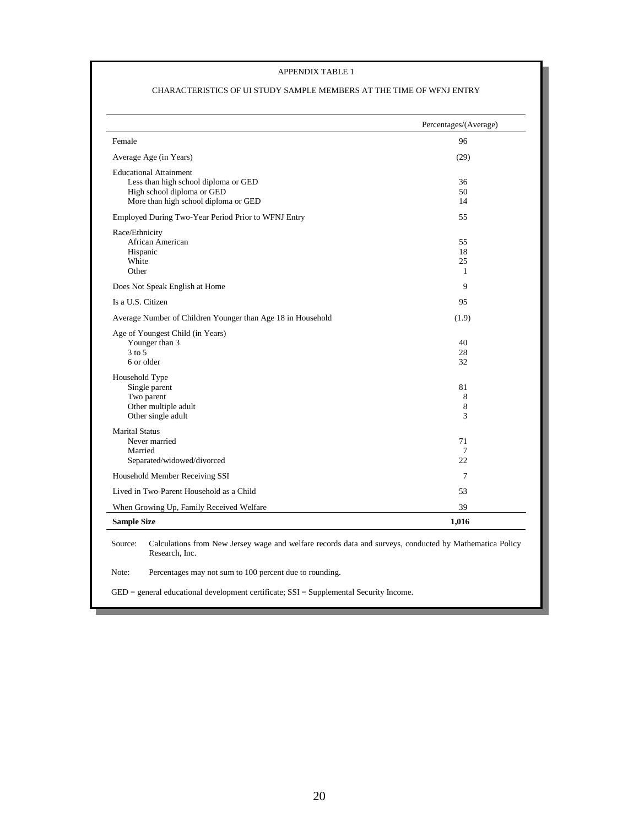#### APPENDIX TABLE 1

#### CHARACTERISTICS OF UI STUDY SAMPLE MEMBERS AT THE TIME OF WFNJ ENTRY

|                                                             | Percentages/(Average) |
|-------------------------------------------------------------|-----------------------|
| Female                                                      | 96                    |
| Average Age (in Years)                                      | (29)                  |
| <b>Educational Attainment</b>                               |                       |
| Less than high school diploma or GED                        | 36                    |
| High school diploma or GED                                  | 50                    |
| More than high school diploma or GED                        | 14                    |
| Employed During Two-Year Period Prior to WFNJ Entry         | 55                    |
| Race/Ethnicity                                              |                       |
| African American                                            | 55                    |
| Hispanic                                                    | 18                    |
| White                                                       | 25                    |
| Other                                                       | $\mathbf{1}$          |
| Does Not Speak English at Home                              | 9                     |
| Is a U.S. Citizen                                           | 95                    |
| Average Number of Children Younger than Age 18 in Household | (1.9)                 |
| Age of Youngest Child (in Years)                            |                       |
| Younger than 3                                              | 40                    |
| $3$ to $5$                                                  | 28                    |
| 6 or older                                                  | 32                    |
| Household Type                                              |                       |
| Single parent                                               | 81                    |
| Two parent                                                  | 8                     |
| Other multiple adult<br>Other single adult                  | 8<br>3                |
|                                                             |                       |
| <b>Marital Status</b><br>Never married                      | 71                    |
| Married                                                     | 7                     |
| Separated/widowed/divorced                                  | 22                    |
| Household Member Receiving SSI                              | 7                     |
| Lived in Two-Parent Household as a Child                    | 53                    |
| When Growing Up, Family Received Welfare                    | 39                    |
| <b>Sample Size</b>                                          | 1,016                 |

Note: Percentages may not sum to 100 percent due to rounding.

GED = general educational development certificate; SSI = Supplemental Security Income.